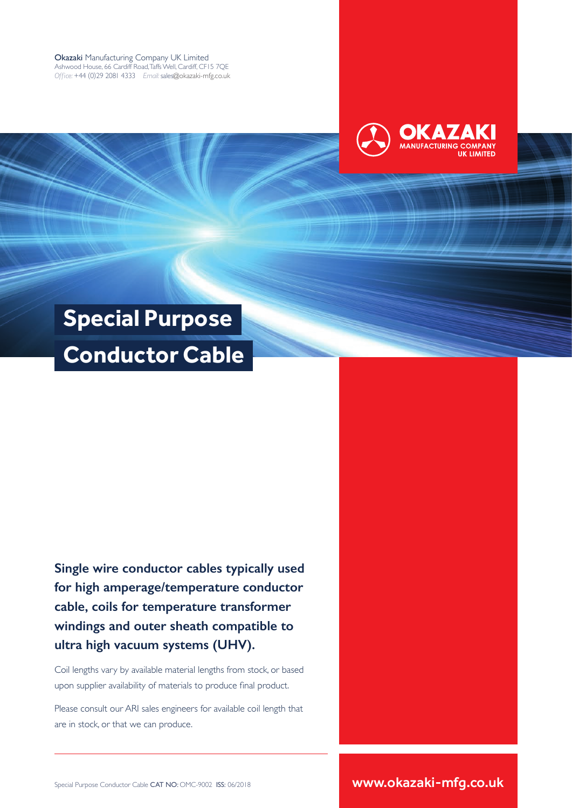Okazaki Manufacturing Company UK Limited Ashwood House, 66 Cardiff Road, Taffs Well, Cardiff, CF15 7QE *Office:* +44 (0)29 2081 4333 *Email:* sales@okazaki-mfg.co.uk



# **Special Purpose Conductor Cable**

**Single wire conductor cables typically used for high amperage/temperature conductor cable, coils for temperature transformer windings and outer sheath compatible to ultra high vacuum systems (UHV).**

Coil lengths vary by available material lengths from stock, or based upon supplier availability of materials to produce final product.

Please consult our ARI sales engineers for available coil length that are in stock, or that we can produce.

Special Purpose Conductor Cable CAT NO: OMC-9002 ISS: 06/2018 **www.okazaki-mfg.co.uk**